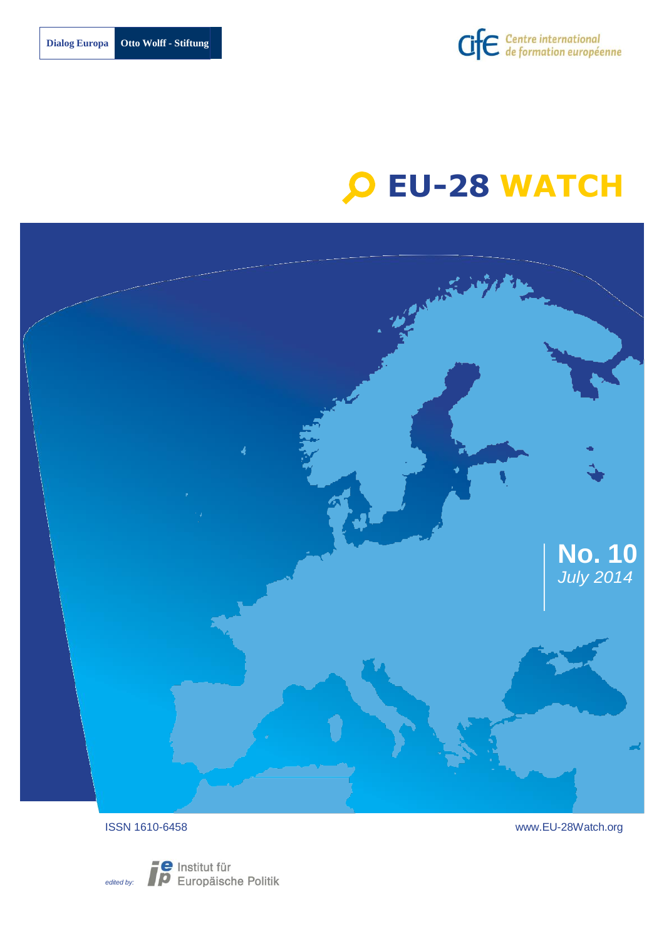

# **EU-28 WATCH**





ISSN 1610-6458 [www.EU-28Watch.org](http://www.eu-28watch.org/)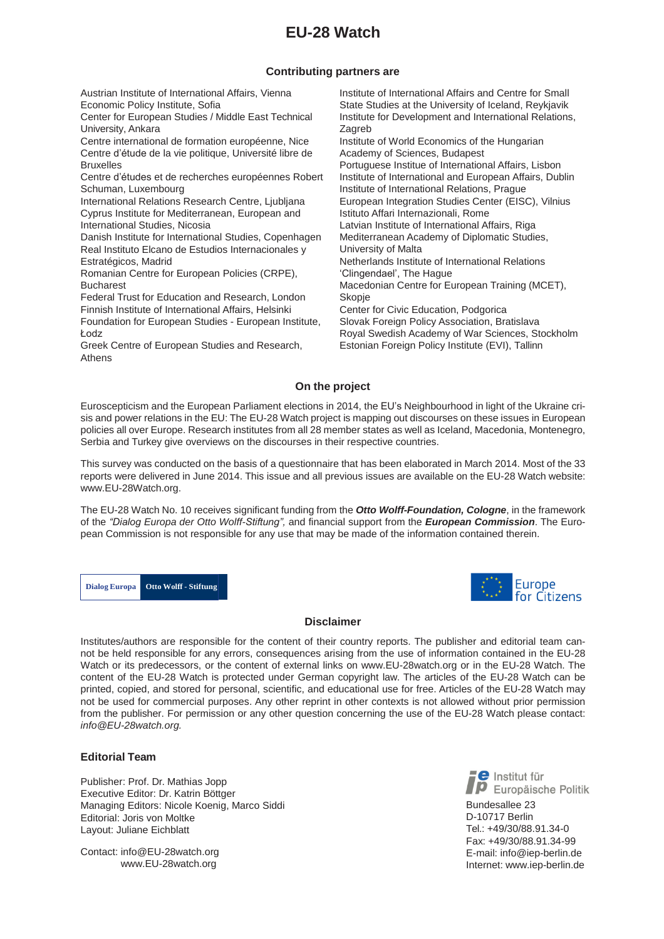# **EU-28 Watch**

# **Contributing partners are**

Austrian Institute of International Affairs, Vienna Economic Policy Institute, Sofia Center for European Studies / Middle East Technical University, Ankara Centre international de formation européenne, Nice Centre d'étude de la vie politique, Université libre de Bruxelles Centre d'études et de recherches européennes Robert Schuman, Luxembourg International Relations Research Centre, Ljubljana Cyprus Institute for Mediterranean, European and International Studies, Nicosia Danish Institute for International Studies, Copenhagen Real Instituto Elcano de Estudios Internacionales y Estratégicos, Madrid Romanian Centre for European Policies (CRPE), Bucharest Federal Trust for Education and Research, London Finnish Institute of International Affairs, Helsinki Foundation for European Studies - European Institute, Łodz Greek Centre of European Studies and Research, Athens Institute of International Affairs and Centre for Small State Studies at the University of Iceland, Reykjavik Institute for Development and International Relations, **Zagreb** Institute of World Economics of the Hungarian Academy of Sciences, Budapest Portuguese Institue of International Affairs, Lisbon Institute of International and European Affairs, Dublin Institute of International Relations, Prague European Integration Studies Center (EISC), Vilnius Istituto Affari Internazionali, Rome Latvian Institute of International Affairs, Riga Mediterranean Academy of Diplomatic Studies, University of Malta Netherlands Institute of International Relations 'Clingendael', The Hague Macedonian Centre for European Training (MCET), Skopje Center for Civic Education, Podgorica Slovak Foreign Policy Association, Bratislava Royal Swedish Academy of War Sciences, Stockholm Estonian Foreign Policy Institute (EVI), Tallinn

# **On the project**

Euroscepticism and the European Parliament elections in 2014, the EU's Neighbourhood in light of the Ukraine crisis and power relations in the EU: The EU-28 Watch project is mapping out discourses on these issues in European policies all over Europe. Research institutes from all 28 member states as well as Iceland, Macedonia, Montenegro, Serbia and Turkey give overviews on the discourses in their respective countries.

This survey was conducted on the basis of a questionnaire that has been elaborated in March 2014. Most of the 33 reports were delivered in June 2014. This issue and all previous issues are available on the EU-28 Watch websit[e:](http://www.eu-28watch.org/) [www.EU-28Watch.org.](http://www.eu-28watch.org/)

The EU-28 Watch No. 10 receives significant funding from the *Otto Wolff-Foundation, Cologne*, in the framework of the *"Dialog Europa der Otto Wolff-Stiftung",* and financial support from the *European Commission*. The European Commission is not responsible for any use that may be made of the information contained therein.

**Dialog Europa Otto Wolff - Stiftung**



#### **Disclaimer**

Institutes/authors are responsible for the content of their country reports. The publisher and editorial team cannot be held responsible for any errors, consequences arising from the use of information contained in the EU-28 Watch or its predecessors, or the content of external links on [www.EU-28watch.org](http://www.eu-28watch.org/) or in the EU-28 Watch. The content of the EU-28 Watch is protected under German copyright law. The articles of the EU-28 Watch can be printed, copied, and stored for personal, scientific, and educational use for free. Articles of the EU-28 Watch may not be used for commercial purposes. Any other reprint in other contexts is not allowed without prior permission from the publisher. For permission or any other question concerning the use of the EU-28 Watch please contact: *[info@EU-28watch.org.](mailto:info@EU-28watch.org)*

#### **Editorial Team**

Publisher: Prof. Dr. Mathias Jopp Executive Editor: Dr. Katrin Böttger Managing Editors: Nicole Koenig, Marco Siddi Editorial: Joris von Moltke Layout: Juliane Eichblatt

Contact: [info@EU-28watch.org](mailto:info@EU-28watch.org) [www.EU-28watch.org](http://www.eu-28watch.org/)

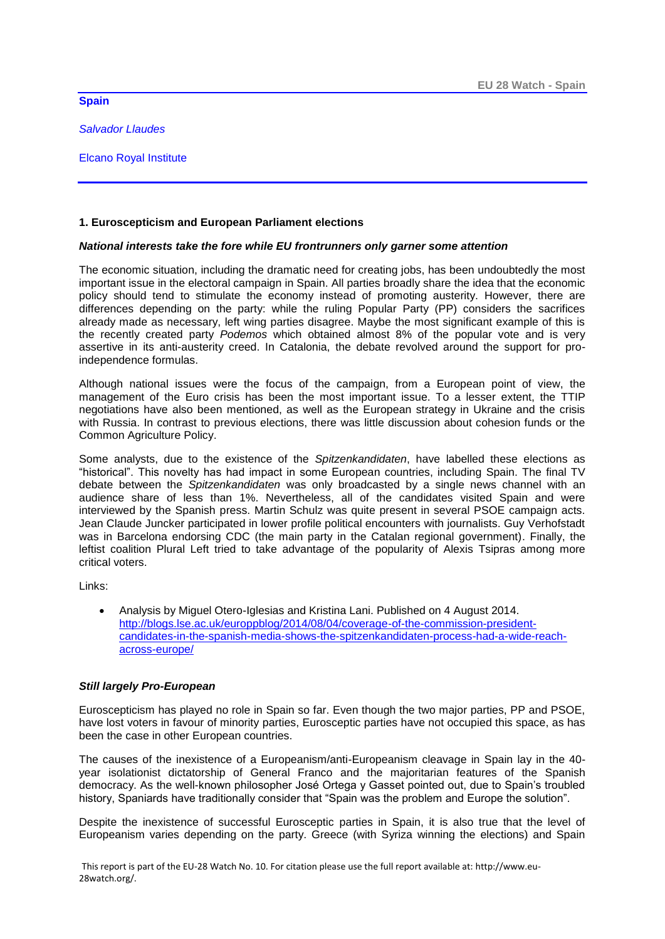**Spain** 

*Salvador Llaudes*

Elcano Royal Institute

# **1. Euroscepticism and European Parliament elections**

# *National interests take the fore while EU frontrunners only garner some attention*

The economic situation, including the dramatic need for creating jobs, has been undoubtedly the most important issue in the electoral campaign in Spain. All parties broadly share the idea that the economic policy should tend to stimulate the economy instead of promoting austerity. However, there are differences depending on the party: while the ruling Popular Party (PP) considers the sacrifices already made as necessary, left wing parties disagree. Maybe the most significant example of this is the recently created party *Podemos* which obtained almost 8% of the popular vote and is very assertive in its anti-austerity creed. In Catalonia, the debate revolved around the support for proindependence formulas.

Although national issues were the focus of the campaign, from a European point of view, the management of the Euro crisis has been the most important issue. To a lesser extent, the TTIP negotiations have also been mentioned, as well as the European strategy in Ukraine and the crisis with Russia. In contrast to previous elections, there was little discussion about cohesion funds or the Common Agriculture Policy.

Some analysts, due to the existence of the *Spitzenkandidaten*, have labelled these elections as "historical". This novelty has had impact in some European countries, including Spain. The final TV debate between the *Spitzenkandidaten* was only broadcasted by a single news channel with an audience share of less than 1%. Nevertheless, all of the candidates visited Spain and were interviewed by the Spanish press. Martin Schulz was quite present in several PSOE campaign acts. Jean Claude Juncker participated in lower profile political encounters with journalists. Guy Verhofstadt was in Barcelona endorsing CDC (the main party in the Catalan regional government). Finally, the leftist coalition Plural Left tried to take advantage of the popularity of Alexis Tsipras among more critical voters.

Links:

 Analysis by Miguel Otero-Iglesias and Kristina Lani. Published on 4 August 2014. [http://blogs.lse.ac.uk/europpblog/2014/08/04/coverage-of-the-commission-president](http://blogs.lse.ac.uk/europpblog/2014/08/04/coverage-of-the-commission-president-candidates-in-the-spanish-media-shows-the-spitzenkandidaten-process-had-a-wide-reach-across-europe/)[candidates-in-the-spanish-media-shows-the-spitzenkandidaten-process-had-a-wide-reach](http://blogs.lse.ac.uk/europpblog/2014/08/04/coverage-of-the-commission-president-candidates-in-the-spanish-media-shows-the-spitzenkandidaten-process-had-a-wide-reach-across-europe/)[across-europe/](http://blogs.lse.ac.uk/europpblog/2014/08/04/coverage-of-the-commission-president-candidates-in-the-spanish-media-shows-the-spitzenkandidaten-process-had-a-wide-reach-across-europe/)

# *Still largely Pro-European*

Euroscepticism has played no role in Spain so far. Even though the two major parties, PP and PSOE, have lost voters in favour of minority parties, Eurosceptic parties have not occupied this space, as has been the case in other European countries.

The causes of the inexistence of a Europeanism/anti-Europeanism cleavage in Spain lay in the 40 year isolationist dictatorship of General Franco and the majoritarian features of the Spanish democracy. As the well-known philosopher José Ortega y Gasset pointed out, due to Spain's troubled history, Spaniards have traditionally consider that "Spain was the problem and Europe the solution".

Despite the inexistence of successful Eurosceptic parties in Spain, it is also true that the level of Europeanism varies depending on the party. Greece (with Syriza winning the elections) and Spain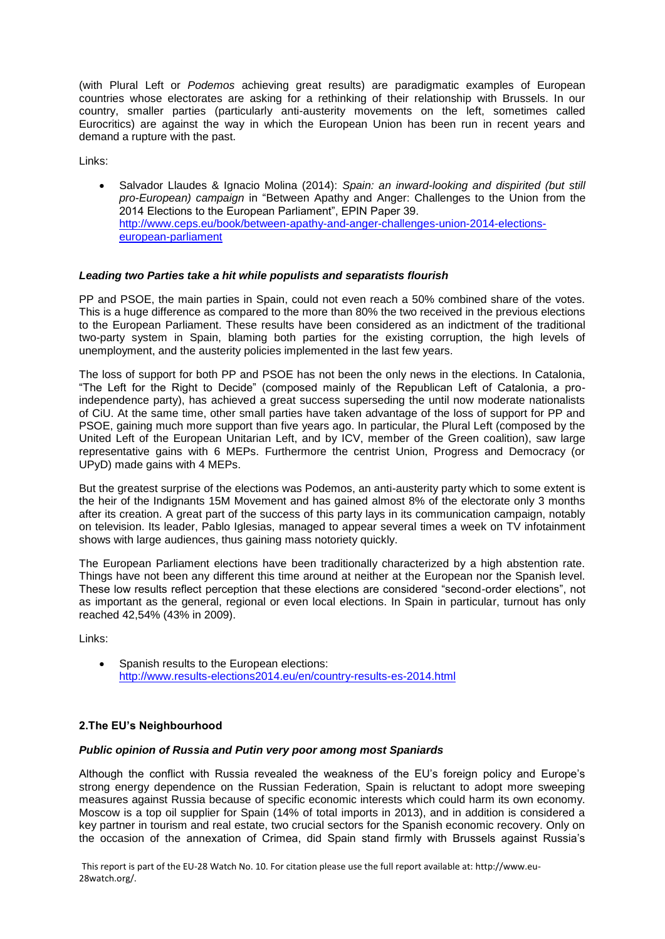(with Plural Left or *Podemos* achieving great results) are paradigmatic examples of European countries whose electorates are asking for a rethinking of their relationship with Brussels. In our country, smaller parties (particularly anti-austerity movements on the left, sometimes called Eurocritics) are against the way in which the European Union has been run in recent years and demand a rupture with the past.

Links:

 Salvador Llaudes & Ignacio Molina (2014): *Spain: an inward-looking and dispirited (but still pro-European) campaign* in "Between Apathy and Anger: Challenges to the Union from the 2014 Elections to the European Parliament", EPIN Paper 39. [http://www.ceps.eu/book/between-apathy-and-anger-challenges-union-2014-elections](http://www.ceps.eu/book/between-apathy-and-anger-challenges-union-2014-elections-european-parliament)[european-parliament](http://www.ceps.eu/book/between-apathy-and-anger-challenges-union-2014-elections-european-parliament)

# *Leading two Parties take a hit while populists and separatists flourish*

PP and PSOE, the main parties in Spain, could not even reach a 50% combined share of the votes. This is a huge difference as compared to the more than 80% the two received in the previous elections to the European Parliament. These results have been considered as an indictment of the traditional two-party system in Spain, blaming both parties for the existing corruption, the high levels of unemployment, and the austerity policies implemented in the last few years.

The loss of support for both PP and PSOE has not been the only news in the elections. In Catalonia, "The Left for the Right to Decide" (composed mainly of the Republican Left of Catalonia, a proindependence party), has achieved a great success superseding the until now moderate nationalists of CiU. At the same time, other small parties have taken advantage of the loss of support for PP and PSOE, gaining much more support than five years ago. In particular, the Plural Left (composed by the United Left of the European Unitarian Left, and by ICV, member of the Green coalition), saw large representative gains with 6 MEPs. Furthermore the centrist Union, Progress and Democracy (or UPyD) made gains with 4 MEPs.

But the greatest surprise of the elections was Podemos, an anti-austerity party which to some extent is the heir of the Indignants 15M Movement and has gained almost 8% of the electorate only 3 months after its creation. A great part of the success of this party lays in its communication campaign, notably on television. Its leader, Pablo Iglesias, managed to appear several times a week on TV infotainment shows with large audiences, thus gaining mass notoriety quickly.

The European Parliament elections have been traditionally characterized by a high abstention rate. Things have not been any different this time around at neither at the European nor the Spanish level. These low results reflect perception that these elections are considered "second-order elections", not as important as the general, regional or even local elections. In Spain in particular, turnout has only reached 42,54% (43% in 2009).

Links:

 Spanish results to the European elections: <http://www.results-elections2014.eu/en/country-results-es-2014.html>

# **2.The EU's Neighbourhood**

# *Public opinion of Russia and Putin very poor among most Spaniards*

Although the conflict with Russia revealed the weakness of the EU's foreign policy and Europe's strong energy dependence on the Russian Federation, Spain is reluctant to adopt more sweeping measures against Russia because of specific economic interests which could harm its own economy. Moscow is a top oil supplier for Spain (14% of total imports in 2013), and in addition is considered a key partner in tourism and real estate, two crucial sectors for the Spanish economic recovery. Only on the occasion of the annexation of Crimea, did Spain stand firmly with Brussels against Russia's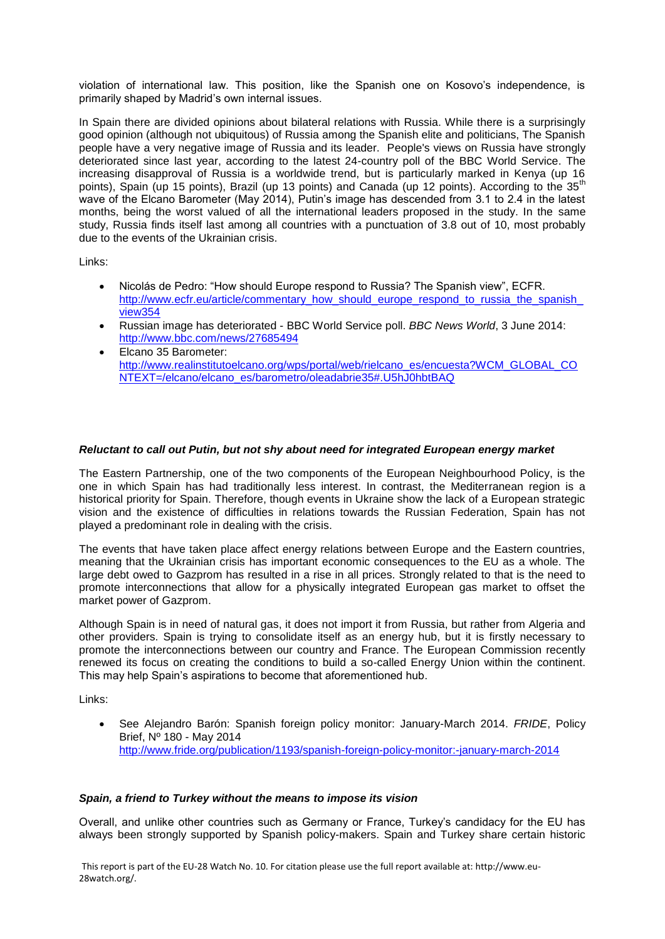violation of international law. This position, like the Spanish one on Kosovo's independence, is primarily shaped by Madrid's own internal issues.

In Spain there are divided opinions about bilateral relations with Russia. While there is a surprisingly good opinion (although not ubiquitous) of Russia among the Spanish elite and politicians, The Spanish people have a very negative image of Russia and its leader. People's views on Russia have strongly deteriorated since last year, according to the latest 24-country poll of the BBC World Service. The increasing disapproval of Russia is a worldwide trend, but is particularly marked in Kenya (up 16 points), Spain (up 15 points), Brazil (up 13 points) and Canada (up 12 points). According to the 35<sup>th</sup> wave of the Elcano Barometer (May 2014), Putin's image has descended from 3.1 to 2.4 in the latest months, being the worst valued of all the international leaders proposed in the study. In the same study, Russia finds itself last among all countries with a punctuation of 3.8 out of 10, most probably due to the events of the Ukrainian crisis.

Links:

- Nicolás de Pedro: "How should Europe respond to Russia? The Spanish view", ECFR. http://www.ecfr.eu/article/commentary\_how\_should\_europe\_respond\_to\_russia\_the\_spanish [view354](http://www.ecfr.eu/article/commentary_how_should_europe_respond_to_russia_the_spanish_view354)
- Russian image has deteriorated BBC World Service poll. *BBC News World*, 3 June 2014: <http://www.bbc.com/news/27685494>
- Elcano 35 Barometer: [http://www.realinstitutoelcano.org/wps/portal/web/rielcano\\_es/encuesta?WCM\\_GLOBAL\\_CO](http://www.realinstitutoelcano.org/wps/portal/web/rielcano_es/encuesta?WCM_GLOBAL_CONTEXT=/elcano/elcano_es/barometro/oleadabrie35#.U5hJ0hbtBAQ) [NTEXT=/elcano/elcano\\_es/barometro/oleadabrie35#.U5hJ0hbtBAQ](http://www.realinstitutoelcano.org/wps/portal/web/rielcano_es/encuesta?WCM_GLOBAL_CONTEXT=/elcano/elcano_es/barometro/oleadabrie35#.U5hJ0hbtBAQ)

# *Reluctant to call out Putin, but not shy about need for integrated European energy market*

The Eastern Partnership, one of the two components of the European Neighbourhood Policy, is the one in which Spain has had traditionally less interest. In contrast, the Mediterranean region is a historical priority for Spain. Therefore, though events in Ukraine show the lack of a European strategic vision and the existence of difficulties in relations towards the Russian Federation, Spain has not played a predominant role in dealing with the crisis.

The events that have taken place affect energy relations between Europe and the Eastern countries, meaning that the Ukrainian crisis has important economic consequences to the EU as a whole. The large debt owed to Gazprom has resulted in a rise in all prices. Strongly related to that is the need to promote interconnections that allow for a physically integrated European gas market to offset the market power of Gazprom.

Although Spain is in need of natural gas, it does not import it from Russia, but rather from Algeria and other providers. Spain is trying to consolidate itself as an energy hub, but it is firstly necessary to promote the interconnections between our country and France. The European Commission recently renewed its focus on creating the conditions to build a so-called Energy Union within the continent. This may help Spain's aspirations to become that aforementioned hub.

Links:

 See Alejandro Barón: Spanish foreign policy monitor: January-March 2014. *FRIDE*, Policy Brief, Nº 180 - May 2014 <http://www.fride.org/publication/1193/spanish-foreign-policy-monitor:-january-march-2014>

# *Spain, a friend to Turkey without the means to impose its vision*

Overall, and unlike other countries such as Germany or France, Turkey's candidacy for the EU has always been strongly supported by Spanish policy-makers. Spain and Turkey share certain historic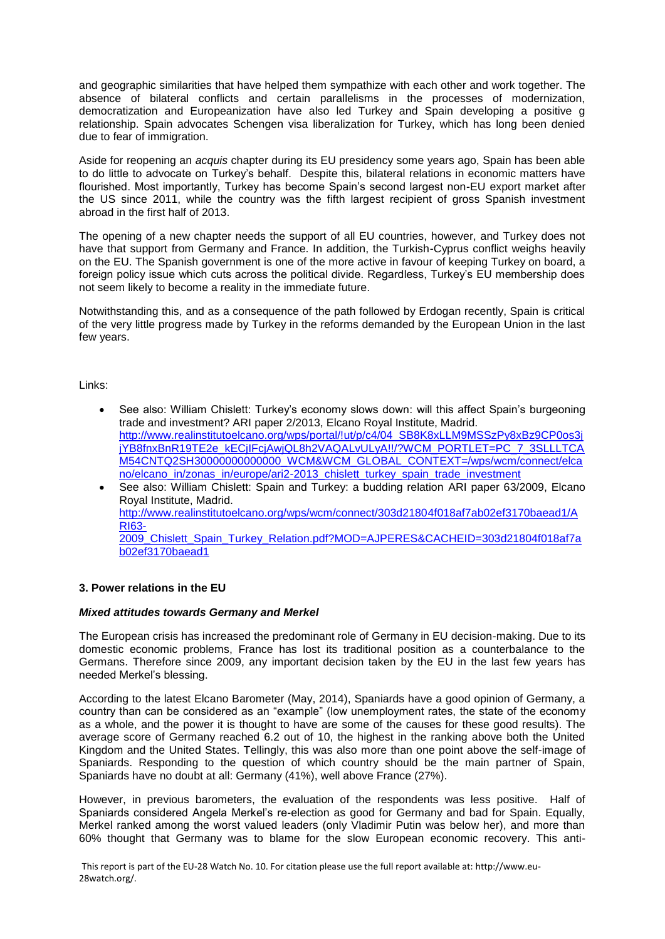and geographic similarities that have helped them sympathize with each other and work together. The absence of bilateral conflicts and certain parallelisms in the processes of modernization, democratization and Europeanization have also led Turkey and Spain developing a positive g relationship. Spain advocates Schengen visa liberalization for Turkey, which has long been denied due to fear of immigration.

Aside for reopening an *acquis* chapter during its EU presidency some years ago, Spain has been able to do little to advocate on Turkey's behalf. Despite this, bilateral relations in economic matters have flourished. Most importantly, Turkey has become Spain's second largest non-EU export market after the US since 2011, while the country was the fifth largest recipient of gross Spanish investment abroad in the first half of 2013.

The opening of a new chapter needs the support of all EU countries, however, and Turkey does not have that support from Germany and France. In addition, the Turkish-Cyprus conflict weighs heavily on the EU. The Spanish government is one of the more active in favour of keeping Turkey on board, a foreign policy issue which cuts across the political divide. Regardless, Turkey's EU membership does not seem likely to become a reality in the immediate future.

Notwithstanding this, and as a consequence of the path followed by Erdogan recently, Spain is critical of the very little progress made by Turkey in the reforms demanded by the European Union in the last few years.

Links:

- See also: William Chislett: Turkey's economy slows down: will this affect Spain's burgeoning trade and investment? ARI paper 2/2013, Elcano Royal Institute, Madrid. [http://www.realinstitutoelcano.org/wps/portal/!ut/p/c4/04\\_SB8K8xLLM9MSSzPy8xBz9CP0os3j](http://www.realinstitutoelcano.org/wps/portal/!ut/p/c4/04_SB8K8xLLM9MSSzPy8xBz9CP0os3jjYB8fnxBnR19TE2e_kECjIFcjAwjQL8h2VAQALvULyA!!/?WCM_PORTLET=PC_7_3SLLLTCAM54CNTQ2SH30000000000000_WCM&WCM_GLOBAL_CONTEXT=/wps/wcm/connect/elcano/elcano_in/zonas_in/europe/ari2-2013_chislett_turkey_spain_trade_investment) [jYB8fnxBnR19TE2e\\_kECjIFcjAwjQL8h2VAQALvULyA!!/?WCM\\_PORTLET=PC\\_7\\_3SLLLTCA](http://www.realinstitutoelcano.org/wps/portal/!ut/p/c4/04_SB8K8xLLM9MSSzPy8xBz9CP0os3jjYB8fnxBnR19TE2e_kECjIFcjAwjQL8h2VAQALvULyA!!/?WCM_PORTLET=PC_7_3SLLLTCAM54CNTQ2SH30000000000000_WCM&WCM_GLOBAL_CONTEXT=/wps/wcm/connect/elcano/elcano_in/zonas_in/europe/ari2-2013_chislett_turkey_spain_trade_investment) [M54CNTQ2SH30000000000000\\_WCM&WCM\\_GLOBAL\\_CONTEXT=/wps/wcm/connect/elca](http://www.realinstitutoelcano.org/wps/portal/!ut/p/c4/04_SB8K8xLLM9MSSzPy8xBz9CP0os3jjYB8fnxBnR19TE2e_kECjIFcjAwjQL8h2VAQALvULyA!!/?WCM_PORTLET=PC_7_3SLLLTCAM54CNTQ2SH30000000000000_WCM&WCM_GLOBAL_CONTEXT=/wps/wcm/connect/elcano/elcano_in/zonas_in/europe/ari2-2013_chislett_turkey_spain_trade_investment) [no/elcano\\_in/zonas\\_in/europe/ari2-2013\\_chislett\\_turkey\\_spain\\_trade\\_investment](http://www.realinstitutoelcano.org/wps/portal/!ut/p/c4/04_SB8K8xLLM9MSSzPy8xBz9CP0os3jjYB8fnxBnR19TE2e_kECjIFcjAwjQL8h2VAQALvULyA!!/?WCM_PORTLET=PC_7_3SLLLTCAM54CNTQ2SH30000000000000_WCM&WCM_GLOBAL_CONTEXT=/wps/wcm/connect/elcano/elcano_in/zonas_in/europe/ari2-2013_chislett_turkey_spain_trade_investment)
- See also: William Chislett: Spain and Turkey: a budding relation ARI paper 63/2009, Elcano Royal Institute, Madrid. [http://www.realinstitutoelcano.org/wps/wcm/connect/303d21804f018af7ab02ef3170baead1/A](http://www.realinstitutoelcano.org/wps/wcm/connect/303d21804f018af7ab02ef3170baead1/ARI63-2009_Chislett_Spain_Turkey_Relation.pdf?MOD=AJPERES&CACHEID=303d21804f018af7ab02ef3170baead1) [RI63-](http://www.realinstitutoelcano.org/wps/wcm/connect/303d21804f018af7ab02ef3170baead1/ARI63-2009_Chislett_Spain_Turkey_Relation.pdf?MOD=AJPERES&CACHEID=303d21804f018af7ab02ef3170baead1) [2009\\_Chislett\\_Spain\\_Turkey\\_Relation.pdf?MOD=AJPERES&CACHEID=303d21804f018af7a](http://www.realinstitutoelcano.org/wps/wcm/connect/303d21804f018af7ab02ef3170baead1/ARI63-2009_Chislett_Spain_Turkey_Relation.pdf?MOD=AJPERES&CACHEID=303d21804f018af7ab02ef3170baead1) [b02ef3170baead1](http://www.realinstitutoelcano.org/wps/wcm/connect/303d21804f018af7ab02ef3170baead1/ARI63-2009_Chislett_Spain_Turkey_Relation.pdf?MOD=AJPERES&CACHEID=303d21804f018af7ab02ef3170baead1)

# **3. Power relations in the EU**

# *Mixed attitudes towards Germany and Merkel*

The European crisis has increased the predominant role of Germany in EU decision-making. Due to its domestic economic problems, France has lost its traditional position as a counterbalance to the Germans. Therefore since 2009, any important decision taken by the EU in the last few years has needed Merkel's blessing.

According to the latest Elcano Barometer (May, 2014), Spaniards have a good opinion of Germany, a country than can be considered as an "example" (low unemployment rates, the state of the economy as a whole, and the power it is thought to have are some of the causes for these good results). The average score of Germany reached 6.2 out of 10, the highest in the ranking above both the United Kingdom and the United States. Tellingly, this was also more than one point above the self-image of Spaniards. Responding to the question of which country should be the main partner of Spain, Spaniards have no doubt at all: Germany (41%), well above France (27%).

However, in previous barometers, the evaluation of the respondents was less positive. Half of Spaniards considered Angela Merkel's re-election as good for Germany and bad for Spain. Equally, Merkel ranked among the worst valued leaders (only Vladimir Putin was below her), and more than 60% thought that Germany was to blame for the slow European economic recovery. This anti-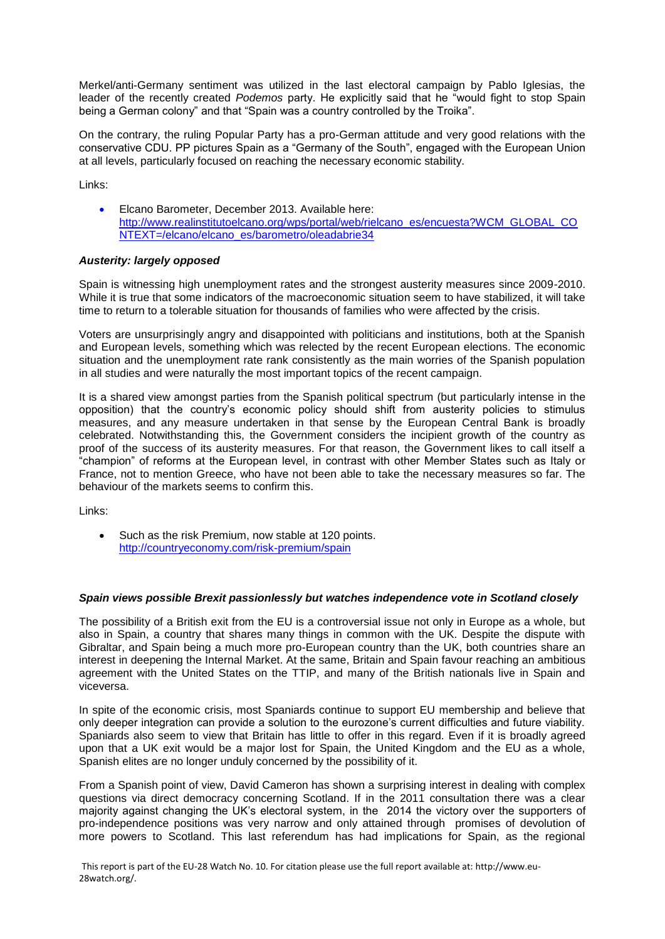Merkel/anti-Germany sentiment was utilized in the last electoral campaign by Pablo Iglesias, the leader of the recently created *Podemos* party. He explicitly said that he "would fight to stop Spain being a German colony" and that "Spain was a country controlled by the Troika".

On the contrary, the ruling Popular Party has a pro-German attitude and very good relations with the conservative CDU. PP pictures Spain as a "Germany of the South", engaged with the European Union at all levels, particularly focused on reaching the necessary economic stability.

Links:

 Elcano Barometer, December 2013. Available here: [http://www.realinstitutoelcano.org/wps/portal/web/rielcano\\_es/encuesta?WCM\\_GLOBAL\\_CO](http://www.realinstitutoelcano.org/wps/portal/web/rielcano_es/encuesta?WCM_GLOBAL_CONTEXT=/elcano/elcano_es/barometro/oleadabrie34) [NTEXT=/elcano/elcano\\_es/barometro/oleadabrie34](http://www.realinstitutoelcano.org/wps/portal/web/rielcano_es/encuesta?WCM_GLOBAL_CONTEXT=/elcano/elcano_es/barometro/oleadabrie34)

# *Austerity: largely opposed*

Spain is witnessing high unemployment rates and the strongest austerity measures since 2009-2010. While it is true that some indicators of the macroeconomic situation seem to have stabilized, it will take time to return to a tolerable situation for thousands of families who were affected by the crisis.

Voters are unsurprisingly angry and disappointed with politicians and institutions, both at the Spanish and European levels, something which was relected by the recent European elections. The economic situation and the unemployment rate rank consistently as the main worries of the Spanish population in all studies and were naturally the most important topics of the recent campaign.

It is a shared view amongst parties from the Spanish political spectrum (but particularly intense in the opposition) that the country's economic policy should shift from austerity policies to stimulus measures, and any measure undertaken in that sense by the European Central Bank is broadly celebrated. Notwithstanding this, the Government considers the incipient growth of the country as proof of the success of its austerity measures. For that reason, the Government likes to call itself a "champion" of reforms at the European level, in contrast with other Member States such as Italy or France, not to mention Greece, who have not been able to take the necessary measures so far. The behaviour of the markets seems to confirm this.

Links:

• Such as the risk Premium, now stable at 120 points. <http://countryeconomy.com/risk-premium/spain>

# *Spain views possible Brexit passionlessly but watches independence vote in Scotland closely*

The possibility of a British exit from the EU is a controversial issue not only in Europe as a whole, but also in Spain, a country that shares many things in common with the UK. Despite the dispute with Gibraltar, and Spain being a much more pro-European country than the UK, both countries share an interest in deepening the Internal Market. At the same, Britain and Spain favour reaching an ambitious agreement with the United States on the TTIP, and many of the British nationals live in Spain and viceversa.

In spite of the economic crisis, most Spaniards continue to support EU membership and believe that only deeper integration can provide a solution to the eurozone's current difficulties and future viability. Spaniards also seem to view that Britain has little to offer in this regard. Even if it is broadly agreed upon that a UK exit would be a major lost for Spain, the United Kingdom and the EU as a whole, Spanish elites are no longer unduly concerned by the possibility of it.

From a Spanish point of view, David Cameron has shown a surprising interest in dealing with complex questions via direct democracy concerning Scotland. If in the 2011 consultation there was a clear majority against changing the UK's electoral system, in the 2014 the victory over the supporters of pro-independence positions was very narrow and only attained through promises of devolution of more powers to Scotland. This last referendum has had implications for Spain, as the regional